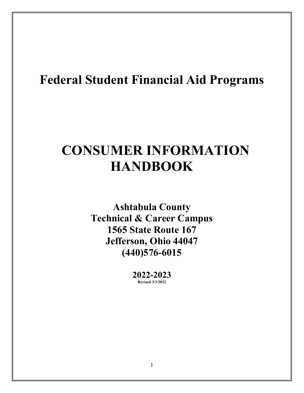# **Federal Student Financial Aid Programs**

# **CONSUMER INFORMATION HANDBOOK**

**Ashtabula County Technical & Career Campus 1565 State Route 167 Jefferson, Ohio 44047 (440)576-6015**

> **2022-2023 Revised 3/3/2022**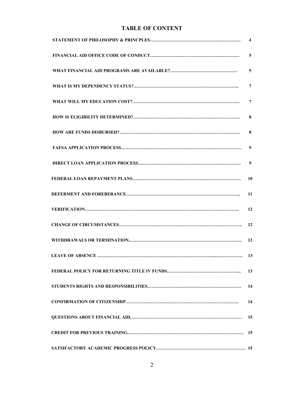# **TABLE OF CONTENT**

| 5              |
|----------------|
| $\overline{5}$ |
| 7              |
| $\overline{7}$ |
| 8              |
| 8              |
| 9              |
| 9              |
|                |
| 11             |
| 12             |
|                |
| 12             |
|                |
| 13             |
| 14             |
| 14             |
| 15             |
| 15             |
|                |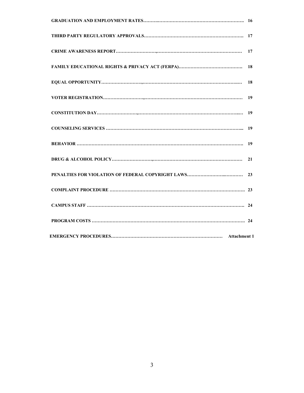| 18 |
|----|
|    |
|    |
|    |
|    |
| 21 |
|    |
|    |
|    |
|    |
|    |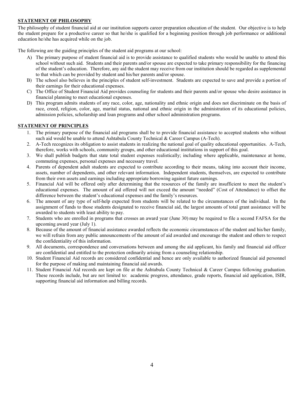## **STATEMENT OF PHILOSOPHY**

The philosophy of student financial aid at our institution supports career preparation education of the student. Our objective is to help the student prepare for a productive career so that he/she is qualified for a beginning position through job performance or additional education he/she has acquired while on the job.

The following are the guiding principles of the student aid programs at our school:

- A) The primary purpose of student financial aid is to provide assistance to qualified students who would be unable to attend this school without such aid. Students and their parents and/or spouse are expected to take primary responsibility for the financing of the student's education. Therefore, any aid the student may receive from our institution should be regarded as supplemental to that which can be provided by student and his/her parents and/or spouse.
- B) The school also believes in the principles of student self-investment. Students are expected to save and provide a portion of their earnings for their educational expenses.
- C) The Office of Student Financial Aid provides counseling for students and their parents and/or spouse who desire assistance in financial planning to meet educational expenses.
- D) This program admits students of any race, color, age, nationality and ethnic origin and does not discriminate on the basis of race, creed, religion, color, age, marital status, national and ethnic origin in the administration of its educational policies, admission policies, scholarship and loan programs and other school administration programs.

#### **STATEMENT OF PRINCIPLES**

- 1. The primary purpose of the financial aid programs shall be to provide financial assistance to accepted students who without such aid would be unable to attend Ashtabula County Technical & Career Campus (A-Tech).
- 2. A-Tech recognizes its obligation to assist students in realizing the national goal of quality educational opportunities. A-Tech, therefore, works with schools, community groups, and other educational institutions in support of this goal.
- 3. We shall publish budgets that state total student expenses realistically; including where applicable, maintenance at home, commuting expenses, personal expenses and necessary travel.
- 4. Parents of dependent adult students are expected to contribute according to their means, taking into account their income, assets, number of dependents, and other relevant information. Independent students, themselves, are expected to contribute from their own assets and earnings including appropriate borrowing against future earnings.
- 5. Financial Aid will be offered only after determining that the resources of the family are insufficient to meet the student's educational expenses. The amount of aid offered will not exceed the amount "needed" (Cost of Attendance) to offset the difference between the student's educational expenses and the family's resources.
- 6. The amount of any type of self-help expected from students will be related to the circumstances of the individual. In the assignment of funds to those students designated to receive financial aid, the largest amounts of total grant assistance will be awarded to students with least ability to pay.
- 7. Students who are enrolled in programs that crosses an award year (June 30) may be required to file a second FAFSA for the upcoming award year (July 1).
- 8. Because of the amount of financial assistance awarded reflects the economic circumstances of the student and his/her family, we will refrain from any public announcements of the amount of aid awarded and encourage the student and others to respect the confidentiality of this information.
- 9. All documents, correspondence and conversations between and among the aid applicant, his family and financial aid officer are confidential and entitled to the protection ordinarily arising from a counseling relationship.
- 10. Student Financial Aid records are considered confidential and hence are only available to authorized financial aid personnel for the purpose of making and maintaining financial aid awards.
- 11. Student Financial Aid records are kept on file at the Ashtabula County Technical & Career Campus following graduation. These records include, but are not limited to: academic progress, attendance, grade reports, financial aid application, ISIR, supporting financial aid information and billing records.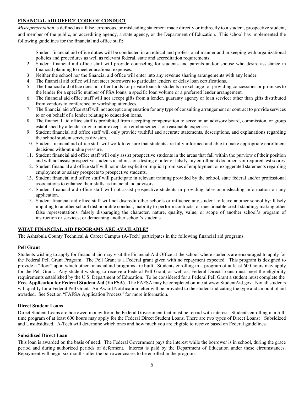## **FINANCIAL AID OFFICE CODE OF CONDUCT**

*Misrepresentation* is defined as a false, erroneous, or misleading statement made directly or indirectly to a student, prospective student, and member of the public, an accrediting agency, a state agency, or the Department of Education. This school has implemented the following guidelines for the financial aid office staff:

- 1. Student financial aid office duties will be conducted in an ethical and professional manner and in keeping with organizational policies and procedures as well as relevant federal, state and accreditation requirements.
- 2. Student financial aid office staff will provide counseling for students and parents and/or spouse who desire assistance in financial planning to meet educational expenses.
- 3. Neither the school nor the financial aid office will enter into any revenue sharing arrangements with any lender.
- 4. The financial aid office will not steer borrowers to particular lenders or delay loan certifications.
- 5. The financial aid office does not offer funds for private loans to students in exchange for providing concessions or promises to the lender for a specific number of FSA loans, a specific loan volume or a preferred lender arrangement.
- 6. The financial aid office staff will not accept gifts from a lender, guaranty agency or loan servicer other than gifts distributed from vendors to conference or workshop attendees.
- 7. The financial aid office staff will not accept compensation for any type of consulting arrangement or contract to provide services to or on behalf of a lender relating to education loans.
- 8. The financial aid office staff is prohibited from accepting compensation to serve on an advisory board, commission, or group established by a lender or guarantor except for reimbursement for reasonable expenses.
- 9. Student financial aid office staff will only provide truthful and accurate statements, descriptions, and explanations regarding the school student services division.
- 10. Student financial aid office staff will work to ensure that students are fully informed and able to make appropriate enrollment decisions without undue pressure.
- 11. Student financial aid office staff will only assist prospective students in the areas that fall within the purview of their position and will not assist prospective students in admissions testing or alter or falsify any enrollment documents or required test scores.
- 12. Student financial aid office staff will not make explicit or implicit promises of employment or exaggerated statements regarding employment or salary prospects to prospective students.
- 13. Student financial aid office staff will participate in relevant training provided by the school, state federal and/or professional associations to enhance their skills as financial aid advisors.
- 14. Student financial aid office staff will not assist prospective students in providing false or misleading information on any application.
- 15. Student financial aid office staff will not discredit other schools or influence any student to leave another school by: falsely imputing to another school dishonorable conduct, inability to perform contracts, or questionable credit standing; making other false representations; falsely disparaging the character, nature, quality, value, or scope of another school's program of instruction or services; or demeaning another school's students.

## **WHAT FINANCIAL AID PROGRAMS ARE AVAILABLE?**

The Ashtabula County Technical & Career Campus (A-Tech) participates in the following financial aid programs:

#### **Pell Grant**

Students wishing to apply for financial aid may visit the Financial Aid Office at the school where students are encouraged to apply for the Federal Pell Grant Program. The Pell Grant is a Federal grant given with no repayment expected. This program is designed to provide a "floor" upon which other financial aid programs are built. Students enrolling in a program of at least 600 hours may apply for the Pell Grant. Any student wishing to receive a Federal Pell Grant, as well as, Federal Direct Loans must meet the eligibility requirements established by the U.S. Department of Education. To be considered for a Federal Pell Grant a student must complete the **Free Application for Federal Student Aid (FAFSA)**. The FAFSA may be completed online at www.StudentAid.gov. Not all students will qualify for a Federal Pell Grant. An Award Notification letter will be provided to the student indicating the type and amount of aid awarded. See Section "FAFSA Application Process" for more information.

#### **Direct Student Loans**

Direct Student Loans are borrowed money from the Federal Government that must be repaid with interest. Students enrolling in a fulltime program of at least 600 hours may apply for the Federal Direct Student Loans. There are two types of Direct Loans: Subsidized and Unsubsidized. A-Tech will determine which ones and how much you are eligible to receive based on Federal guidelines.

#### **Subsidized Direct Loan**

This loan is awarded on the basis of need. The Federal Government pays the interest while the borrower is in school, during the grace period and during authorized periods of deferment. Interest is paid by the Department of Education under these circumstances. Repayment will begin six months after the borrower ceases to be enrolled in the program.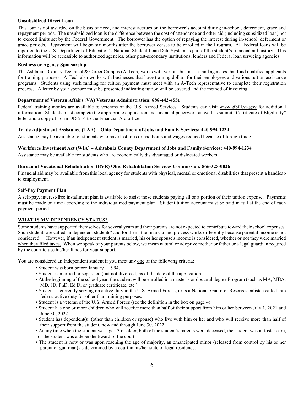#### **Unsubsidized Direct Loan**

This loan is not awarded on the basis of need, and interest accrues on the borrower's account during in-school, deferment, grace and repayment periods. The unsubsidized loan is the difference between the cost of attendance and other aid (including subsidized loan) not to exceed limits set by the Federal Government. The borrower has the option of repaying the interest during in-school, deferment or grace periods. Repayment will begin six months after the borrower ceases to be enrolled in the Program. All Federal loans will be reported to the U.S. Department of Education's National Student Loan Data System as part of the student's financial aid history. This information will be accessible to authorized agencies, other post-secondary institutions, lenders and Federal loan servicing agencies.

#### **Business or Agency Sponsorship**

The Ashtabula County Technical & Career Campus (A-Tech) works with various businesses and agencies that fund qualified applicants for training purposes. A-Tech also works with businesses that have training dollars for their employees and various tuition assistance programs. Students using such funding for tuition payment must meet with an A-Tech representative to complete their registration process. A letter by your sponsor must be presented indicating tuition will be covered and the method of invoicing.

#### **Department of Veteran Affairs (VA) Veterans Administration: 888-442-4551**

Federal training monies are available to veterans of the U.S. Armed Services. Students can visit [www.gibill.va.gov](http://www.gibill.va.gov/) for additional information. Students must complete the appropriate application and financial paperwork as well as submit "Certificate of Eligibility" letter and a copy of Form DD-214 to the Financial Aid office.

#### **Trade Adjustment Assistance (TAA) – Ohio Department of Jobs and Family Services: 440-994-1234**

Assistance may be available for students who have lost jobs or had hours and wages reduced because of foreign trade.

#### **Workforce Investment Act (WIA) – Ashtabula County Department of Jobs and Family Services: 440-994-1234**

Assistance may be available for students who are economically disadvantaged or dislocated workers.

#### **Bureau of Vocational Rehabilitation (BVR) Ohio Rehabilitation Services Commission: 866-325-0026**

Financial aid may be available from this local agency for students with physical, mental or emotional disabilities that present a handicap to employment.

#### **Self-Pay Payment Plan**

A self-pay, interest-free installment plan is available to assist those students paying all or a portion of their tuition expense. Payments must be made on time according to the individualized payment plan. Student tuition account must be paid in full at the end of each payment period.

#### **WHAT IS MY DEPENDENCY STATUS?**

Some students have supported themselves for several years and their parents are not expected to contribute toward their school expenses. Such students are called "independent students" and for them, the financial aid process works differently because parental income is not considered. However, if an independent student is married, his or her spouse's income is considered, whether or not they were married when they filed taxes. When we speak of your parents below, we mean natural or adoptive mother or father or a legal guardian required by the court to use his/her funds for your support.

You are considered an Independent student if you meet any one of the following criteria:

- Student was born before January 1,1994.
- Student is married or separated (but not divorced) as of the date of the application.
- At the beginning of the school year, the student will be enrolled in a master's or doctoral degree Program (such as MA, MBA, MD, JD, PhD, Ed D, or graduate certificate, etc.).
- Student is currently serving on active duty in the U.S. Armed Forces, or is a National Guard or Reserves enlistee called into federal active duty for other than training purposes.
- Student is a veteran of the U.S. Armed Forces (see the definition in the box on page 4).
- Student has one or more children who will receive more than half of their support from him or her between July 1, 2021 and June 30, 2022.
- Student has dependent(s) (other than children or spouse) who live with him or her and who will receive more than half of their support from the student, now and through June 30, 2022.
- At any time when the student was age 13 or older, both of the student's parents were deceased, the student was in foster care, or the student was a dependent/ward of the court.
- The student is now or was upon reaching the age of majority, an emancipated minor (released from control by his or her parent or guardian) as determined by a court in his/her state of legal residence.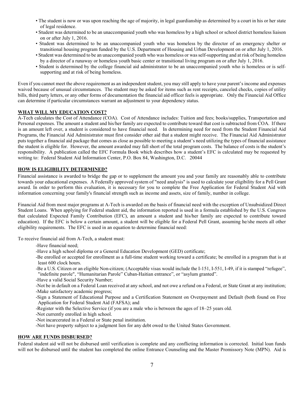- The student is now or was upon reaching the age of majority, in legal guardianship as determined by a court in his or her state of legal residence.
- Student was determined to be an unaccompanied youth who was homeless by a high school or school district homeless liaison on or after July 1, 2016.
- Student was determined to be an unaccompanied youth who was homeless by the director of an emergency shelter or transitional housing program funded by the U.S. Department of Housing and Urban Development on or after July 1, 2016.
- Student was determined to be an unaccompanied youth who was homeless or was self-supporting and at risk of being homeless by a director of a runaway or homeless youth basic center or transitional living program on or after July 1, 2016.
- Student is determined by the college financial aid administrator to be an unaccompanied youth who is homeless or is selfsupporting and at risk of being homeless.

Even if you cannot meet the above requirement as an independent student, you may still apply to have your parent's income and expenses waived because of unusual circumstances. The student may be asked for items such as rent receipts, canceled checks, copies of utility bills, third party letters, or any other forms of documentation the financial aid officer feels is appropriate. Only the Financial Aid Office can determine if particular circumstances warrant an adjustment to your dependency status.

#### **WHAT WILL MY EDUCATION COST?**

A-Tech calculates the Cost of Attendance (COA). Cost of Attendance includes: Tuition and fees; books/supplies, Transportation and Personal expenses. The amount a student and his/her family are expected to contribute toward that cost is subtracted from COA. If there is an amount left over, a student is considered to have financial need. In determining need for need from the Student Financial Aid Programs, the Financial Aid Administrator must first consider other aid that a student might receive. The Financial Aid Administrator puts together a financial aid package that comes as close as possible to meeting a student's need utilizing the types of financial assistance the student is eligible for. However, the amount awarded may fall short of the total program costs. The balance of costs is the student's responsibility. A publication called the EFC Formula Book which describes how a student's EFC is calculated may be requested by writing to: Federal Student Aid Information Center, P.O. Box 84, Washington, D.C. 20044

## **HOW IS ELIGIBILITY DETERMINED?**

Financial assistance is awarded to bridge the gap or to supplement the amount you and your family are reasonably able to contribute towards your educational expenses. A Federally approved system of "need analysis" is used to calculate your eligibility for a Pell Grant award. In order to perform this evaluation, it is necessary for you to complete the Free Application for Federal Student Aid with information concerning your family's financial strength such as income and assets, size of family, number in college.

Financial Aid from most major programs at A-Tech is awarded on the basis of financial need with the exception of Unsubsidized Direct Student Loans. When applying for Federal student aid, the information reported is used in a formula established by the U.S. Congress that calculated Expected Family Contribution (EFC), an amount a student and his/her family are expected to contribute toward education). If the EFC is below a certain amount, a student will be eligible for a Federal Pell Grant, assuming he/she meets all other eligibility requirements. The EFC is used in an equation to determine financial need:

To receive financial aid from A-Tech, a student must:

- -Have financial need;
- -Have a high school diploma or a General Education Development (GED) certificate;
- -Be enrolled or accepted for enrollment as a full-time student working toward a certificate; be enrolled in a program that is at least 600 clock hours.
- -Be a U.S. Citizen or an eligible Non-citizen; (Acceptable visas would include the I-151, I-551, I-49, if it is stamped "refugee", "indefinite parole", "Humanitarian Parole" Cuban-Haitian entrance", or "asylum granted".
- -Have a valid Social Security Number;
- -Not be in default on a Federal Loan received at any school, and not owe a refund on a Federal, or State Grant at any institution;
- -Make satisfactory academic progress;
- -Sign a Statement of Educational Purpose and a Certification Statement on Overpayment and Default (both found on Free Application for Federal Student Aid (FAFSA); and
- -Register with the Selective Service (if you are a male who is between the ages of 18–25 years old.
- -Not currently enrolled in high school.
- -Not incarcerated in a Federal or State penal institution.
- -Not have property subject to a judgment lien for any debt owed to the United States Government.

#### **HOW ARE FUNDS DISBURSED?**

Federal student aid will not be disbursed until verification is complete and any conflicting information is corrected. Initial loan funds will not be disbursed until the student has completed the online Entrance Counseling and the Master Promissory Note (MPN). Aid is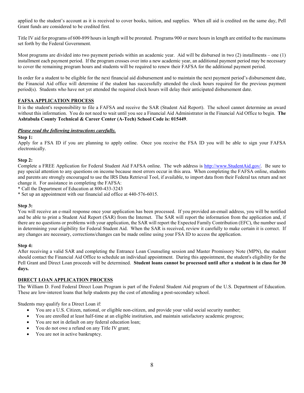applied to the student's account as it is received to cover books, tuition, and supplies. When all aid is credited on the same day, Pell Grant funds are considered to be credited first.

Title IV aid for programs of 600-899 hours in length will be prorated. Programs 900 or more hours in length are entitled to the maximums set forth by the Federal Government.

Most programs are divided into two payment periods within an academic year. Aid will be disbursed in two  $(2)$  installments – one  $(1)$ installment each payment period. If the program crosses over into a new academic year, an additional payment period may be necessary to cover the remaining program hours and students will be required to renew their FAFSA for the additional payment period.

In order for a student to be eligible for the next financial aid disbursement and to maintain the next payment period's disbursement date, the Financial Aid office will determine if the student has successfully attended the clock hours required for the previous payment period(s). Students who have not yet attended the required clock hours will delay their anticipated disbursement date.

## **FAFSA APPLICATION PROCESS**

It is the student's responsibility to file a FAFSA and receive the SAR (Student Aid Report). The school cannot determine an award without this information. You do not need to wait until you see a Financial Aid Administrator in the Financial Aid Office to begin. **The Ashtabula County Technical & Career Center (A-Tech) School Code is: 015449**.

#### *Please read the following instructions carefully.*

#### **Step 1:**

Apply for a FSA ID if you are planning to apply online. Once you receive the FSA ID you will be able to sign your FAFSA electronically.

#### **Step 2:**

Complete a FREE Application for Federal Student Aid FAFSA online. The web address is [http://www.StudentAid.gov/.](http://www.studentaid.gov/) Be sure to pay special attention to any questions on income because most errors occur in this area. When completing the FAFSA online, students and parents are strongly encouraged to use the IRS Data Retrieval Tool, if available, to import data from their Federal tax return and not change it. For assistance in completing the FAFSA:

\* Call the Department of Education at 800-433-3243

\* Set up an appointment with our financial aid office at 440-576-6015.

#### **Step 3:**

You will receive an e-mail response once your application has been processed. If you provided an-email address, you will be notified and be able to print a Student Aid Report (SAR) from the Internet. The SAR will report the information from the application and, if there are no questions or problems with your application, the SAR will report the Expected Family Contribution (EFC), the number used in determining your eligibility for Federal Student Aid. When the SAR is received, review it carefully to make certain it is correct. If any changes are necessary, corrections/changes can be made online using your FSA ID to access the application.

#### **Step 4:**

After receiving a valid SAR and completing the Entrance Loan Counseling session and Master Promissory Note (MPN), the student should contact the Financial Aid Office to schedule an individual appointment. During this appointment, the student's eligibility for the Pell Grant and Direct Loan proceeds will be determined. **Student loans cannot be processed until after a student is in class for 30 days.**

#### **DIRECT LOAN APPLICATION PROCESS**

The William D. Ford Federal Direct Loan Program is part of the Federal Student Aid program of the U.S. Department of Education. These are low-interest loans that help students pay the cost of attending a post-secondary school.

Students may qualify for a Direct Loan if:

- You are a U.S. Citizen, national, or eligible non-citizen, and provide your valid social security number;
- You are enrolled at least half-time at an eligible institution, and maintain satisfactory academic progress;
- You are not in default on any federal education loan;
- You do not owe a refund on any Title IV grant;
- You are not in active bankruptcy.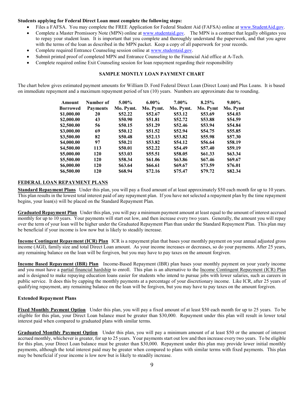#### **Students applying for Federal Direct Loan must complete the following steps:**

- Files a FAFSA. You may complete the FREE Application for Federal Student Aid (FAFSA) online at [www.StudentAid.gov.](http://www.studentaid.gov/)
- Complete a Master Promissory Note (MPN) online at [www.studentaid.gov.](http://www.studentaid.gov/) The MPN is a contract that legally obligates you to repay your student loan. It is important that you complete and thoroughly understand the paperwork, and that you agree with the terms of the loan as described in the MPN packet. Keep a copy of all paperwork for your records.
- Complete required Entrance Counseling session online at [www.studentaid.gov.](http://www.studentaid.gov/)
- Submit printed proof of completed MPN and Entrance Counseling to the Financial Aid office at A-Tech.
- Complete required online Exit Counseling session for loan repayment regarding their responsibility

## **SAMPLE MONTLY LOAN PAYMENT CHART**

The chart below gives estimated payment amounts for William D. Ford Federal Direct Loan (Direct Loan) and Plus Loans. It is based on immediate repayment and a maximum repayment period of ten (10) years. Numbers are approximate due to rounding.

| Amount          | Number of       | $5.00\%$  | $6.00\%$  | $7.00\%$  | 8.25%    | $9.00\%$ |
|-----------------|-----------------|-----------|-----------|-----------|----------|----------|
| <b>Borrowed</b> | <b>Payments</b> | Mo. Pymt. | Mo. Pymt. | Mo. Pymt. | Mo. Pymt | Mo. Pymt |
| \$1,000.00      | 20              | \$52.22   | \$52.67   | \$53.12   | \$53.69  | \$54.03  |
| \$2,000.00      | 43              | \$50.90   | \$51.81   | \$52.72   | \$53.88  | \$54.59  |
| \$2,500.00      | 56              | \$50.15   | \$51.29   | \$52.46   | \$53.94  | \$54.84  |
| \$3,000.00      | 69              | \$50.12   | \$51.52   | \$52.94   | \$54.75  | \$55.85  |
| \$3,500.00      | 82              | \$50.48   | \$52.13   | \$53.82   | \$55.98  | \$57.30  |
| \$4,000.00      | 97              | \$50.21   | \$53.82   | \$54.12   | \$56.64  | \$58.19  |
| \$4,500.00      | 113             | \$50.01   | \$52.22   | \$54.49   | \$57.40  | \$59.19  |
| \$5,000.00      | 120             | \$53.03   | \$55.51   | \$58.05   | \$61.33  | \$63.34  |
| \$5,500.00      | 120             | \$58.34   | \$61.06   | \$63.86   | \$67.46  | \$69.67  |
| \$6,000.00      | 120             | \$63.64   | \$66.61   | \$69.67   | \$73.59  | \$76.01  |
| \$6,500.00      | 120             | \$68.94   | \$72.16   | \$75.47   | \$79.72  | \$82.34  |

## **FEDERAL LOAN REPAYMENT PLANS**

**Standard Repayment Plans** Under this plan, you will pay a fixed amount of at least approximately \$50 each month for up to 10 years. This plan results in the lowest total interest paid of any repayment plan. If you have not selected a repayment plan by the time repayment begins, your loan(s) will be placed on the Standard Repayment Plan.

**Graduated Repayment Plan** Under this plan, you will pay a minimum payment amount at least equal to the amount of interest accrued monthly for up to 10 years. Your payments will start out low, and then increase every two years. Generally, the amount you will repay over the term of your loan will be higher under the Graduated Repayment Plan than under the Standard Repayment Plan. This plan may be beneficial if your income is low now but is likely to steadily increase.

**Income Contingent Repayment (ICR) Plan** ICR is a repayment plan that bases your monthly payment on your annual adjusted gross income (AGI), family size and total Direct Loan amount. As your income increases or decreases, so do your payments. After 25 years, any remaining balance on the loan will be forgiven, but you may have to pay taxes on the amount forgiven.

**Income Based Repayment (IBR) Plan** Income-Based Repayment (IBR) plan bases your monthly payment on your yearly income and you must have a partial financial hardship to enroll. This plan is an alternative to the Income Contingent Repayment (ICR) Plan and is designed to make repaying education loans easier for students who intend to pursue jobs with lower salaries, such as careers in public service. It does this by capping the monthly payments at a percentage of your discretionary income. Like ICR, after 25 years of qualifying repayment, any remaining balance on the loan will be forgiven, but you may have to pay taxes on the amount forgiven.

#### **Extended Repayment Plans**

**Fixed Monthly Payment Option** Under this plan, you will pay a fixed amount of at least \$50 each month for up to 25 years. To be eligible for this plan, your Direct Loan balance must be greater than \$30,000. Repayment under this plan will result in lower total interest paid when compared to graduated plans with similar terms.

**Graduated Monthly Payment Option** Under this plan, you will pay a minimum amount of at least \$50 or the amount of interest accrued monthly, whichever is greater, for up to 25 years. Your payments start out low and then increase every two years. To be eligible for this plan, your Direct Loan balance must be greater than \$30,000. Repayment under this plan may provide lower initial monthly payments, although the total interest paid may be greater when compared to plans with similar terms with fixed payments. This plan may be beneficial if your income is low now but is likely to steadily increase.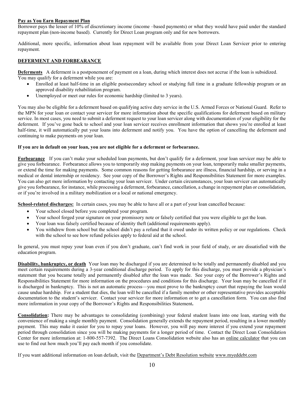#### **Pay as You Earn Repayment Plan**

Borrower pays the lesser of 10% of discretionary income (income –based payments) or what they would have paid under the standard repayment plan (non-income based). Currently for Direct Loan program only and for new borrowers.

Additional, more specific, information about loan repayment will be available from your Direct Loan Servicer prior to entering repayment.

## **DEFERMENT AND FORBEARANCE**

**Deferments** A deferment is a postponement of payment on a loan, during which interest does not accrue if the loan is subsidized. You may qualify for a deferment while you are:

- Enrolled at least half-time in an eligible postsecondary school or studying full time in a graduate fellowship program or an approved disability rehabilitation program.
- Unemployed or meet our rules for economic hardship (limited to 3 years).

You may also be eligible for a deferment based on qualifying active duty service in the U.S. Armed Forces or National Guard. Refer to the MPN for your loan or contact your servicer for more information about the specific qualifications for deferment based on military service. In most cases, you need to submit a deferment request to your loan servicer along with documentation of your eligibility for the deferment. If you've gone back to school and your loan servicer receives enrollment information that shows you're enrolled at least half-time, it will automatically put your loans into deferment and notify you. You have the option of cancelling the deferment and continuing to make payments on your loan.

#### **If you are in default on your loan, you are not eligible for a deferment or forbearance.**

**Forbearance** If you can't make your scheduled loan payments, but don't qualify for a deferment, your loan servicer may be able to give you forbearance. Forbearance allows you to temporarily stop making payments on your loan, temporarily make smaller payments, or extend the time for making payments. Some common reasons for getting forbearance are illness, financial hardship, or serving in a medical or dental internship or residency. See your copy of the Borrower's Rights and Responsibilities Statement for more examples. You can also get more information by contacting your loan servicer. Under certain circumstances, your loan servicer can automatically give you forbearance, for instance, while processing a deferment, forbearance, cancellation, a change in repayment plan or consolidation, or if you're involved in a military mobilization or a local or national emergency.

**School-related discharges:** In certain cases, you may be able to have all or a part of your loan cancelled because:

- Your school closed before you completed your program.
- Your school forged your signature on your promissory note or falsely certified that you were eligible to get the loan.
- Your loan was falsely certified because of identity theft (additional requirements apply).
- You withdrew from school but the school didn't pay a refund that it owed under its written policy or our regulations. Check with the school to see how refund policies apply to federal aid at the school.

In general, you must repay your loan even if you don't graduate, can't find work in your field of study, or are dissatisfied with the education program.

**Disability, bankruptcy, or death** Your loan may be discharged if you are determined to be totally and permanently disabled and you meet certain requirements during a 3-year conditional discharge period. To apply for this discharge, you must provide a physician's statement that you became totally and permanently disabled after the loan was made. See your copy of the Borrower's Rights and Responsibilities Statement for more information on the procedures and conditions for this discharge. Your loan may be cancelled if it is discharged in bankruptcy. This is not an automatic process—you must prove to the bankruptcy court that repaying the loan would cause undue hardship. For a student that dies, the loan will be cancelled if a family member or other representative provides acceptable documentation to the student's servicer. Contact your servicer for more information or to get a cancellation form. You can also find more information in your copy of the Borrower's Rights and Responsibilities Statement**.**

**Consolidation:** There may be advantages to consolidating (combining) your federal student loans into one loan, starting with the convenience of making a single monthly payment. Consolidation generally extends the repayment period, resulting in a lower monthly payment. This may make it easier for you to repay your loans. However, you will pay more interest if you extend your repayment period through consolidation since you will be making payments for a longer period of time. Contact the Direct Loan Consolidation Center for more information at: 1-800-557-7392. The Direct Loans Consolidation website also has an online calculator that you can use to find out how much you'll pay each month if you consolidate.

If you want additional information on loan default, visit the Department's Debt Resolution website [www.myeddebt.com](http://www.myeddebt.com/)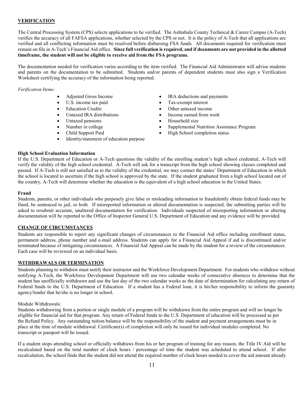## **VERIFICATION**

The Central Processing System (CPS) selects applications to be verified. The Ashtabula County Technical & Career Campus (A-Tech) verifies the accuracy of all FAFSA applications, whether selected by the CPS or not. It is the policy of A-Tech that all applications are verified and all conflicting information must be resolved before disbursing FSA funds. All documents required for verification must remain on file in A-Tech's Financial Aid office. **Since full verification is required, and if documents are not provided in the allotted timeframe, the student will not be eligible to receive aid from the FSA programs.**

The documentation needed for verification varies according to the item verified. The Financial Aid Administrator will advise students and parents on the documentation to be submitted. Students and/or parents of dependent students must also sign a Verification Worksheet certifying the accuracy of the information being reported.

*Verification Items:*

- 
- 
- 
- 
- 
- 
- 
- Identity/statement of education purpose
- Adjusted Gross Income IRA deductions and payments
- U.S. income tax paid Tax-exempt interest
- Education Credits Other untaxed income
- Untaxed IRA distributions Income earned from work
- Untaxed pensions Household size
- Number in college Supplemental Nutrition Assistance Program
- Child Support Paid High School completion status

#### **High School Evaluation Information**

If the U.S. Department of Education or A-Tech questions the validity of the enrolling student's high school credential, A-Tech will verify the validity of the high school credential. A-Tech will ask for a transcript from the high school showing classes completed and passed. If A-Tech is still not satisfied as to the validity of the credential, we may contact the states' Department of Education in which the school is located to ascertain if the high school is approved by the state. If the student graduated from a high school located out of the country, A-Tech will determine whether the education is the equivalent of a high school education in the United States.

#### **Fraud**

Students, parents, or other individuals who purposely give false or misleading information to fraudulently obtain federal funds may be fined, be sentenced to jail, or both. If misreported information or altered documentation is suspected, the submitting parties will be asked to resubmit accurate, unaltered documentation for verification. Individuals suspected of misreporting information or altering documentation will be reported to the Office of Inspector General U.S. Department of Education and any evidence will be provided.

#### **CHANGE OF CIRCUMSTANCES**

Students are responsible to report any significant changes of circumstances to the Financial Aid office including enrollment status, permanent address, phone number and e-mail address. Students can apply for a Financial Aid Appeal if aid is discontinued and/or terminated because of mitigating circumstances. A Financial Aid Appeal can be made by the student for a review of the circumstances. Each case will be reviewed on an individual basis.

#### **WITHDRAWALS OR TERMINATION**

Students planning to withdraw must notify their instructor and the Workforce Development Department. For students who withdraw without notifying A-Tech, the Workforce Development Department will use two calendar weeks of consecutive absences to determine that the student has unofficially withdrawn and use the last day of the two calendar weeks as the date of determination for calculating any return of Federal funds to the U.S. Department of Education. If a student has a Federal loan, it is his/her responsibility to inform the guaranty agency/lender that he/she is no longer in school.

#### Module Withdrawals:

Students withdrawing from a portion or single module of a program will be withdrawn from the entire program and will no longer be eligible for financial aid for that program. Any return of Federal funds to the U.S. Department of education will be processed as per the Refund Policy. Any outstanding tuition balance will be the responsibility of the student and payment arrangements must be in place at the time of module withdrawal. Certificate(s) of completion will only be issued for individual modules completed. No transcript or passport will be issued.

If a student stops attending school or officially withdraws from his or her program of training for any reason, the Title IV Aid will be recalculated based on the total number of clock hours / percentage of time the student was scheduled to attend school. If after recalculation, the school finds that the student did not attend the required number of clock hours needed to cover the aid amount already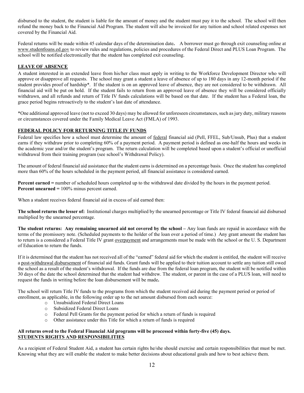disbursed to the student, the student is liable for the amount of money and the student must pay it to the school. The school will then refund the money back to the Financial Aid Program. The student will also be invoiced for any tuition and school related expenses not covered by the Financial Aid.

Federal returns will be made within 45 calendar days of the determination date**.** A borrower must go through exit counseling online at [www.studentloans.ed.gov](http://www.studentloans.ed.gov/) to review rules and regulations, policies and procedures of the Federal Direct and PLUS Loan Program. The school will be notified electronically that the student has completed exit counseling.

## **LEAVE OF ABSENCE**

A student interested in an extended leave from his/her class must apply in writing to the Workforce Development Director who will approve or disapprove all requests. The school may grant a student a leave of absence of up to 180 days in any 12-month period if the student provides proof of hardship\*. If the student is on an approved leave of absence, they are not considered to be withdrawn. All financial aid will be put on hold. If the student fails to return from an approved leave of absence they will be considered officially withdrawn, and all refunds and return of Title IV funds calculations will be based on that date. If the student has a Federal loan, the grace period begins retroactively to the student's last date of attendance.

\*One additional approved leave (not to exceed 30 days) may be allowed for unforeseen circumstances, such as jury duty, military reasons or circumstances covered under the Family Medical Leave Act (FMLA) of 1993.

## **FEDERAL POLICY FOR RETURNING TITLE IV FUNDS**

Federal law specifies how a school must determine the amount of federal financial aid (Pell, FFEL, Sub/Unsub, Plus) that a student earns if they withdraw prior to completing 60% of a payment period. A payment period is defined as one-half the hours and weeks in the academic year and/or the student's program. The return calculation will be completed based upon a student's official or unofficial withdrawal from their training program (see school's Withdrawal Policy).

The amount of federal financial aid assistance that the student earns is determined on a percentage basis. Once the student has completed more than 60% of the hours scheduled in the payment period, all financial assistance is considered earned.

**Percent earned =** number of scheduled hours completed up to the withdrawal date divided by the hours in the payment period. **Percent unearned =** 100% minus percent earned.

When a student receives federal financial aid in excess of aid earned then:

**The school returns the lesser of:** Institutional charges multiplied by the unearned percentage or Title IV federal financial aid disbursed multiplied by the unearned percentage.

**The student returns: Any remaining unearned aid not covered by the school –** Any loan funds are repaid in accordance with the terms of the promissory note. (Scheduled payments to the holder of the loan over a period of time.) Any grant amount the student has to return is a considered a Federal Title IV grant <u>overpayment</u> and arrangements must be made with the school or the U. S. Department of Education to return the funds.

If it is determined that the student has not received all of the "earned" federal aid for which the student is entitled, the student will receive a post-withdrawal disbursement of financial aid funds. Grant funds will be applied to their tuition account to settle any tuition still owed the school as a result of the student's withdrawal. If the funds are due from the federal loan program, the student will be notified within 30 days of the date the school determined that the student had withdrew. The student, or parent in the case of a PLUS loan, will need to request the funds in writing before the loan disbursement will be made**.** 

The school will return Title IV funds to the programs from which the student received aid during the payment period or period of enrollment, as applicable, in the following order up to the net amount disbursed from each source:

- o Unsubsidized Federal Direct Loans
- o Subsidized Federal Direct Loans
- o Federal Pell Grants for the payment period for which a return of funds is required
- o Other assistance under this Title for which a return of funds is required

#### **All returns owed to the Federal Financial Aid programs will be processed within forty-five (45) days. STUDENTS RIGHTS AND RESPONSIBILITIES**

As a recipient of Federal Student Aid, a student has certain rights he/she should exercise and certain responsibilities that must be met. Knowing what they are will enable the student to make better decisions about educational goals and how to best achieve them.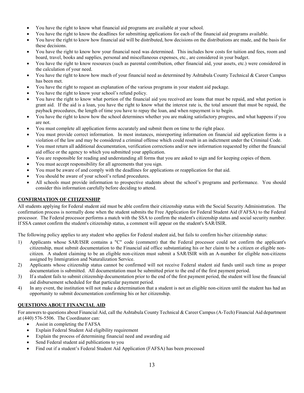- You have the right to know what financial aid programs are available at your school.
- You have the right to know the deadlines for submitting applications for each of the financial aid programs available.
- You have the right to know how financial aid will be distributed, how decisions on the distributions are made, and the basis for these decisions.
- You have the right to know how your financial need was determined. This includes how costs for tuition and fees, room and board, travel, books and supplies, personal and miscellaneous expenses, etc., are considered in your budget.
- You have the right to know resources (such as parental contribution, other financial aid, your assets, etc.) were considered in the calculation of your need.
- You have the right to know how much of your financial need as determined by Ashtabula County Technical & Career Campus has been met.
- You have the right to request an explanation of the various programs in your student aid package.
- You have the right to know your school's refund policy.
- You have the right to know what portion of the financial aid you received are loans that must be repaid, and what portion is grant aid. If the aid is a loan, you have the right to know what the interest rate is, the total amount that must be repaid, the payback procedures, the length of time you have to repay the loan, and when repayment is to begin.
- You have the right to know how the school determines whether you are making satisfactory progress, and what happens if you are not.
- You must complete all application forms accurately and submit them on time to the right place.
- You must provide correct information. In most instances, misreporting information on financial aid application forms is a violation of the law and may be considered a criminal offense which could result in an indictment under the Criminal Code.
- You must return all additional documentation, verification corrections and/or new information requested by either the financial aid office or the agency to which you submitted your application.
- You are responsible for reading and understanding all forms that you are asked to sign and for keeping copies of them.
- You must accept responsibility for all agreements that you sign.
- You must be aware of and comply with the deadlines for applications or reapplication for that aid.
- You should be aware of your school's refund procedures.
- All schools must provide information to prospective students about the school's programs and performance. You should consider this information carefully before deciding to attend.

## **CONFIRMATION OF CITIZENSHIP**

All students applying for Federal student aid must be able confirm their citizenship status with the Social Security Administration. The confirmation process is normally done when the student submits the Free Application for Federal Student Aid (FAFSA) to the Federal processor. The Federal processor performs a match with the SSA to confirm the student's citizenship status and social security number. If SSA cannot confirm the student's citizenship status, a comment will appear on the student's SAR/ISIR.

The following policy applies to any student who applies for Federal student aid, but fails to confirm his/her citizenship status:

- 1) Applicants whose SAR/ISIR contains a "C" code (comment) that the Federal processor could not confirm the applicant's citizenship, must submit documentation to the Financial aid office substantiating his or her claim to be a citizen or eligible noncitizen. A student claiming to be an eligible non-citizen must submit a SAR/ISIR with an A-number for eligible non-citizens assigned by Immigration and Naturalization Service.
- 2) Applicants whose citizenship status cannot be confirmed will not receive Federal student aid funds until such time as proper documentation is submitted. All documentation must be submitted prior to the end of the first payment period.
- 3) If a student fails to submit citizenship documentation prior to the end of the first payment period, the student will lose the financial aid disbursement scheduled for that particular payment period.
- 4) In any event, the institution will not make a determination that a student is not an eligible non-citizen until the student has had an opportunity to submit documentation confirming his or her citizenship.

## **QUESTIONS ABOUT FINANCIAL AID**

For answers to questions about Financial Aid, call the Ashtabula County Technical & Career Campus (A-Tech) Financial Aid department at (440) 576-5506. The Coordinator can:

- Assist in completing the FAFSA
- Explain Federal Student Aid eligibility requirement
- Explain the process of determining financial need and awarding aid
- Send Federal student aid publications to you
- Find out if a student's Federal Student Aid Application (FAFSA) has been processed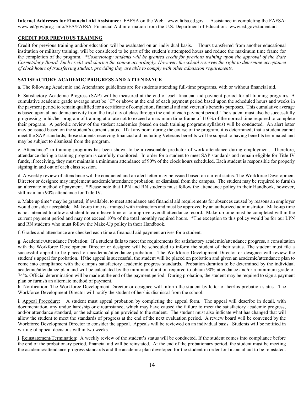**Internet Addresses for Financial Aid Assistance:** FAFSA on the Web: [www.fafsa.ed.gov](http://www.fafsa.ed.gov/) Assistance in completing the FAFSA: [www.ed/gov/prog\\_info/SFA/FAFSA](http://www.ed/gov/prog_info/SFA/FAFSA) Financial Aid information from the U.S. Department of Education: [www.ed.gov/studentaid](http://www.ed.gov/studentaid)

## **CREDIT FOR PREVIOUS TRAINING**

Credit for previous training and/or education will be evaluated on an individual basis. Hours transferred from another educational institution or military training, will be considered to be part of the student's attempted hours and reduce the maximum time frame for the completion of the program.*\*Cosmetology students will be granted credit for previous training upon the approval of the State Cosmetology Board. Such credit will shorten the course accordingly. However, the school reserves the right to determine acceptance of clock hours of transferring student, providing they are able to comply with other admission requirements.*

## **SATISFACTORY ACADEMIC PROGRESS AND ATTENDANCE**

a. The following Academic and Attendance guidelines are for students attending full-time programs, with or without financial aid.

b. Satisfactory Academic Progress (SAP) will be measured at the end of each financial aid payment period for all training programs. A cumulative academic grade average must be "C" or above at the end of each payment period based upon the scheduled hours and weeks in the payment period to remain qualified for a certificate of completion, financial aid and veteran's benefits purposes. This cumulative average is based upon all academic activity from the first day of class through the end of each payment period. The student must also be successfully progressing in his/her program of training at a rate not to exceed a maximum time-frame of 110% of the normal time required to complete their program. A periodic review of the student academics (based on each training programs syllabus) will be conducted. An alert letter may be issued based on the student's current status. If at any point during the course of the program, it is determined, that a student cannot meet the SAP standards, those students receiving financial aid including Veterans benefits will be subject to having benefits terminated and may be subject to dismissal from the program.

c. Attendance\* in training programs has been shown to be a reasonable predictor of work attendance during employment. Therefore, attendance during a training program is carefully monitored. In order for a student to meet SAP standards and remain eligible for Title IV funds, if receiving, they must maintain a minimum attendance of 90% of the clock hours scheduled. Each student is responsible for properly signing in and out of each class session.

d. A weekly review of attendance will be conducted and an alert letter may be issued based on current status. The Workforce Development Director or designee may implement academic/attendance probation, or dismissal from the campus. The student may be required to furnish an alternate method of payment. \*Please note that LPN and RN students must follow the attendance policy in their Handbook, however, still maintain 90% attendance for Title IV.

e. Make up time\* may be granted, if available, to meet attendance and financial aid requirements for absences caused by reasons an employer would consider acceptable. Make-up time is arranged with instructors and must be approved by an authorized administrator. Make-up time is not intended to allow a student to earn leave time or to improve overall attendance record. Make-up time must be completed within the current payment period and may not exceed 10% of the total monthly required hours. \*The exception to this policy would be for our LPN and RN students who must follow the Make-Up policy in their Handbook.

f. Grades and attendance are checked each time a financial aid payment arrives for a student.

g. Academic/Attendance Probation: If a student fails to meet the requirements for satisfactory academic/attendance progress, a consultation with the Workforce Development Director or designee will be scheduled to inform the student of their status. The student must file a successful appeal to be placed on academic/attendance probation. The Workforce Development Director or designee will review the student's appeal for probation. If the appeal is successful, the student will be placed on probation and given an academic/attendance plan to come into compliance with the campus satisfactory academic progress standards. Probation duration to be determined by the individual academic/attendance plan and will be calculated by the minimum duration required to obtain 90% attendance and/or a minimum grade of 74%. Official determination will be made at the end of the payment period. During probation, the student may be required to sign a payment plan or furnish an alternate method of payment.

h. Notification: The Workforce Development Director or designee will inform the student by letter of her/his probation status. The Workforce Development Director will notify the student of her/his dismissal from the school.

i. Appeal Procedure: A student must appeal probation by completing the appeal form. The appeal will describe in detail, with documentation, any undue hardship or circumstance, which may have caused the failure to meet the satisfactory academic progress, and/or attendance standard, or the educational plan provided to the student. The student must also indicate what has changed that will allow the student to meet the standards of progress at the end of the next evaluation period. A review board will be convened by the Workforce Development Director to consider the appeal. Appeals will be reviewed on an individual basis. Students will be notified in writing of appeal decisions within two weeks.

j. Reinstatement/Termination: A weekly review of the student's status will be conducted. If the student comes into compliance before the end of the probationary period, financial aid will be reinstated. At the end of the probationary period, the student must be meeting the academic/attendance progress standards and the academic plan developed for the student in order for financial aid to be reinstated.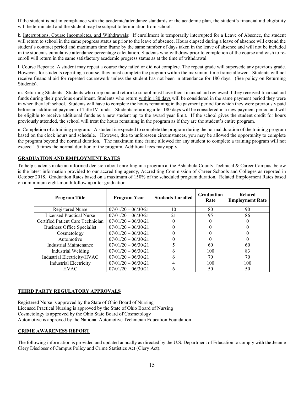If the student is not in compliance with the academic/attendance standards or the academic plan, the student's financial aid eligibility will be terminated and the student may be subject to termination from school.

k. Interruptions, Course Incompletes, and Withdrawals: If enrollment is temporarily interrupted for a Leave of Absence, the student will return to school in the same progress status as prior to the leave of absence. Hours elapsed during a leave of absence will extend the student's contract period and maximum time frame by the same number of days taken in the leave of absence and will not be included in the student's cumulative attendance percentage calculation. Students who withdraw prior to completion of the course and wish to reenroll will return in the same satisfactory academic progress status as at the time of withdrawal

l. Course Repeats: A student may repeat a course they failed or did not complete. The repeat grade will supersede any previous grade. However, for students repeating a course, they must complete the program within the maximum time frame allowed. Students will not receive financial aid for repeated coursework unless the student has not been in attendance for 180 days. (See policy on Returning Students).

m. Returning Students: Students who drop out and return to school must have their financial aid reviewed if they received financial aid funds during their previous enrollment. Students who return within 180 days will be considered in the same payment period they were in when they left school. Students will have to complete the hours remaining in the payment period for which they were previously paid before an additional payment of Title IV funds. Students returning after 180 days will be considered in a new payment period and will be eligible to receive additional funds as a new student up to the award year limit. If the school gives the student credit for hours previously attended, the school will treat the hours remaining in the program as if they are the student's entire program.

n. Completion of a training program: A student is expected to complete the program during the normal duration of the training program based on the clock hours and schedule. However, due to unforeseen circumstances, you may be allowed the opportunity to complete the program beyond the normal duration. The maximum time frame allowed for any student to complete a training program will not exceed 1.5 times the normal duration of the program. Additional fees may apply.

## **GRADUATION AND EMPLOYMENT RATES**

To help students make an informed decision about enrolling in a program at the Ashtabula County Technical & Career Campus, below is the latest information provided to our accrediting agency, Accrediting Commission of Career Schools and Colleges as reported in October 2018. Graduation Rates based on a maximum of 150% of the scheduled program duration. Related Employment Rates based on a minimum eight-month follow up after graduation.

| <b>Program Title</b>              | Program Year          | <b>Students Enrolled</b> | <b>Graduation</b><br>Rate | <b>Related</b><br><b>Employment Rate</b> |
|-----------------------------------|-----------------------|--------------------------|---------------------------|------------------------------------------|
| Registered Nurse                  | $07/01/20 - 06/30/21$ | 10                       | 80                        | 90                                       |
| Licensed Practical Nurse          | $07/01/20 - 06/30/21$ | 21                       | 95                        | 86                                       |
| Certified Patient Care Technician | $07/01/20 - 06/30/21$ | 0                        | $\theta$                  | 0                                        |
| Business Office Specialist        | $07/01/20 - 06/30/21$ | 0                        | 0                         | 0                                        |
| Cosmetology                       | $07/01/20 - 06/30/21$ |                          | 0                         | 0                                        |
| Automotive                        | $07/01/20 - 06/30/21$ |                          | 0                         | 0                                        |
| <b>Industrial Maintenance</b>     | $07/01/20 - 06/30/21$ |                          | 60                        | 60                                       |
| Industrial Welding                | $07/01/20 - 06/30/21$ | 6                        | 100                       | 83                                       |
| Industrial Electricity/HVAC       | $07/01/20 - 06/30/21$ | 6                        | 70                        | 70                                       |
| <b>Industrial Electricity</b>     | $07/01/20 - 06/30/21$ | 4                        | 100                       | 100                                      |
| <b>HVAC</b>                       | $07/01/20 - 06/30/21$ | 6                        | 50                        | 50                                       |

#### **THIRD PARTY REGULATORY APPROVALS**

Registered Nurse is approved by the State of Ohio Board of Nursing Licensed Practical Nursing is approved by the State of Ohio Board of Nursing Cosmetology is approved by the Ohio State Board of Cosmetology Automotive is approved by the National Automotive Technician Education Foundation

#### **CRIME AWARENESS REPORT**

The following information is provided and updated annually as directed by the U.S. Department of Education to comply with the Jeanne Clery Discloser of Campus Policy and Crime Statistics Act (Clery Act).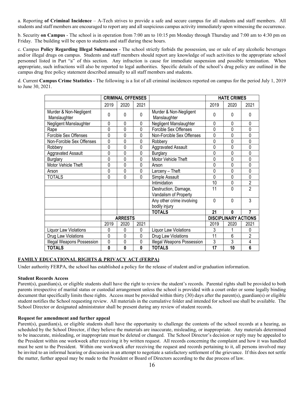a. Reporting **of Criminal Incidence** – A-Tech strives to provide a safe and secure campus for all students and staff members. All students and staff members are encouraged to report any and all suspicious campus activity immediately upon witnessing the occurrence.

b. Security **on Campus** - The school is in operation from 7:00 am to 10:15 pm Monday through Thursday and 7:00 am to 4:30 pm on Friday. The building will be open to students and staff during these hours.

c. Campus **Policy Regarding Illegal Substances** - The school strictly forbids the possession, use or sale of any alcoholic beverages and/or illegal drugs on campus. Students and staff members should report any knowledge of such activities to the appropriate school personnel listed in Part "a" of this section. Any infraction is cause for immediate suspension and possible termination. When appropriate, such infractions will also be reported to legal authorities. Specific details of the school's drug policy are outlined in the campus drug free policy statement described annually to all staff members and students.

d. Current **Campus Crime Statistics** - The following is a list of all criminal incidences reported on campus for the period July 1, 2019 to June 30, 2021.

|                                        | <b>CRIMINAL OFFENSES</b> |             |             |                                               | <b>HATE CRIMES</b> |                             |                |
|----------------------------------------|--------------------------|-------------|-------------|-----------------------------------------------|--------------------|-----------------------------|----------------|
|                                        | 2019                     | 2020        | 2021        |                                               | 2019               | 2020                        | 2021           |
| Murder & Non-Negligent<br>Manslaughter | 0                        | 0           | 0           | Murder & Non-Negligent<br>Manslaughter        | 0                  | 0                           | 0              |
| Negligent Manslaughter                 | $\mathbf 0$              | $\mathbf 0$ | $\Omega$    | Negligent Manslaughter                        | 0                  | $\Omega$                    | 0              |
| Rape                                   | 0                        | 0           | 0           | Forcible Sex Offenses                         | 0                  | 0                           | 0              |
| Forcible Sex Offenses                  | 0                        | 0           | 0           | Non-Forcible Sex Offenses                     | 0                  | 0                           | 0              |
| Non-Forcible Sex Offenses              | $\overline{0}$           | 0           | 0           | Robbery                                       | $\overline{0}$     | 0                           | 0              |
| Robbery                                | 0                        | 0           | 0           | <b>Aggravated Assault</b>                     | 0                  | 0                           | 0              |
| Aggravated Assault                     | 0                        | 0           | $\Omega$    | <b>Burglary</b>                               | 0                  | $\Omega$                    | 0              |
| <b>Burglary</b>                        | 0                        | 0           | 0           | Motor Vehicle Theft                           | 0                  | 0                           | 0              |
| Motor Vehicle Theft                    | 0                        | 0           | $\Omega$    | Arson                                         | 0                  | 0                           | 0              |
| Arson                                  | 0                        | 0           | 0           | Larceny - Theft                               | 0                  | 0                           | 0              |
| TOTALS                                 | 0                        | 0           | $\Omega$    | Simple Assault                                | $\Omega$           | 0                           | 0              |
|                                        |                          |             |             | Intimidation                                  | 10                 | 0                           | $\overline{2}$ |
|                                        |                          |             |             | Destruction, Damage,<br>Vandalism of Property | 11                 | $\Omega$                    | $\overline{2}$ |
|                                        |                          |             |             | Any other crime involving                     | $\Omega$           | $\Omega$                    | 3              |
|                                        |                          |             |             | bodily injury                                 |                    |                             |                |
|                                        |                          |             |             | <b>TOTALS</b>                                 | 21                 | $\mathbf{0}$                | 7              |
|                                        | <b>ARRESTS</b>           |             |             |                                               |                    | <b>DISCIPLINARY ACTIONS</b> |                |
|                                        | 2019                     | 2020        | 2021        |                                               | 2019               | 2020                        | 2021           |
| Liquor Law Violations                  | 0                        | 0           | $\mathbf 0$ | Liquor Law Violations                         | 3                  | 1                           | 0              |
| Drug Law Violations                    | 0                        | 0           | $\Omega$    | Drug Law Violations                           | 11                 | 6                           | $\overline{2}$ |
| Illegal Weapons Possession             | 0                        | 0           | 0           | <b>Illegal Weapons Possession</b>             | 3                  | 3                           | 4              |
| <b>TOTALS</b>                          | $\mathbf{0}$             | 0           | 0           | <b>TOTALS</b>                                 | $\overline{17}$    | $\overline{10}$             | 6              |

## **FAMILY EDUCATIONAL RIGHTS & PRIVACY ACT (FERPA)**

Under authority FERPA, the school has established a policy for the release of student and/or graduation information.

#### **Student Records Access**

Parent(s), guardian(s), or eligible students shall have the right to review the student's records. Parental rights shall be provided to both parents irrespective of marital status or custodial arrangement unless the school is provided with a court order or some legally binding document that specifically limits these rights. Access must be provided within thirty (30) days after the parent(s), guardian(s) or eligible student notifies the School requesting review. All materials in the cumulative folder and intended for school use shall be available. The School Director or designated administrator shall be present during any review of student records.

#### **Request for amendment and further appeal**

Parent(s), guardian(s), or eligible students shall have the opportunity to challenge the contents of the school records at a hearing, as scheduled by the School Director, if they believe the materials are inaccurate, misleading, or inappropriate. Any materials determined to be inaccurate, misleading, or inappropriate must be deleted or changed. The School Director's decision or reply may be appealed to the President within one workweek after receiving it by written request. All records concerning the complaint and how it was handled must be sent to the President. Within one workweek after receiving the request and records pertaining to it, all persons involved may be invited to an informal hearing or discussion in an attempt to negotiate a satisfactory settlement of the grievance. If this does not settle the matter, further appeal may be made to the President or Board of Directors according to the due process of law.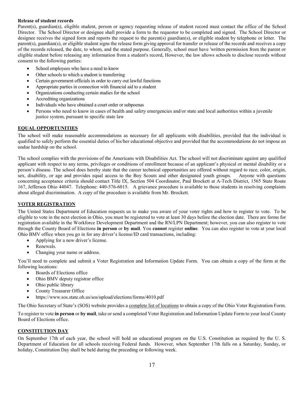#### **Release of student records**

Parent(s), guardian(s), eligible student, person or agency requesting release of student record must contact the office of the School Director. The School Director or designee shall provide a form to the requestor to be completed and signed. The School Director or designee receives the signed form and reports the request to the parent(s) guardian(s), or eligible student by telephone or letter. The parent(s), guardian(s), or eligible student signs the release form giving approval for transfer or release of the records and receives a copy of the records released, the date, to whom, and the stated purpose. Generally, school must have 'written permission from the parent or eligible student before releasing any information from a student's record, However, the law allows schools to disclose records without consent to the following parties:

- School employees who have a need to know
- Other schools to which a student is transferring
- Certain government officials in order to carry out lawful functions
- Appropriate parties in connection with financial aid to a student
- Organizations conducting certain studies for the school
- Accrediting organizations
- Individuals who have obtained a court order or subpoenas
- Persons who need to know in cases of health and safety emergencies and/or state and local authorities within a juvenile justice system, pursuant to specific state law

## **EQUAL OPPORTUNITIES**

The school will make reasonable accommodations as necessary for all applicants with disabilities, provided that the individual is qualified to safely perform the essential duties of his/her educational objective and provided that the accommodations do not impose an undue hardship on the school.

The school complies with the provisions of the Americans with Disabilities Act. The school will not discriminate against any qualified applicant with respect to any terms, privileges or conditions of enrollment because of an applicant's physical or mental disability or a person's disease. The school does hereby state that the career technical opportunities are offered without regard to race, color, origin, sex, disability, or age and provides equal access to the Boy Scouts and other designated youth groups. Anyone with questions concerning acceptance criteria should contact Title IX, Section 504 Coordinator, Paul Brockett at A-Tech District, 1565 State Route 167, Jefferson Ohio 44047. Telephone: 440-576-6015. A grievance procedure is available to those students in resolving complaints about alleged discrimination. A copy of the procedure is available from Mr. Brockett.

#### **VOTER REGISTRATION**

The United States Department of Education requests us to make you aware of your voter rights and how to register to vote. To be eligible to vote in the next election in Ohio, you must be registered to vote at least 30 days before the election date. There are forms for registration available in the Workforce Development Department and the RN/LPN Department; however, you can also register to vote through the County Board of Elections **in person** or **by mail**. You **cannot** register **online**. You can also register to vote at your local [Ohio BMV office](http://www.dmv.org/oh-ohio/dmv-office-finder.php) when you go in for any driver's license/ID card transactions, including:

- Applying for a new driver's license.
- Renewals.
- Changing your name or address.

You'll need to complete and submit a [Voter Registration and Information Update Form.](http://www.sos.state.oh.us/sos/upload/elections/forms/4010.pdf) You can obtain a copy of the form at the following locations:

- [Boards of Elections office](http://www.sos.state.oh.us/SOS/elections/electionsofficials/boeDirectory.aspx#dir)
- [Ohio BMV deputy registrar office](http://www.dmv.org/oh-ohio/dmv-office-finder.php)
- Ohio public library
- County Treasurer Office
- https://www.sos.state.oh.us/sos/upload/elections/forms/4010.pdf

The Ohio Secretary of State's (SOS) website provides a [complete list of locations](http://www.sos.state.oh.us/sos/elections/Voters/FAQ/genFAQs.aspx) to obtain a copy of the Ohio Voter Registration Form.

To register to vote **in person** or **by mail**, take or send a completed [Voter Registration and Information Update Form](http://www.sos.state.oh.us/sos/upload/elections/forms/4010.pdf) to your loca[l County](http://www.sos.state.oh.us/SOS/elections/electionsofficials/boeDirectory.aspx#dir)  [Board of Elections office.](http://www.sos.state.oh.us/SOS/elections/electionsofficials/boeDirectory.aspx#dir)

## **CONSTITUTION DAY**

On September 17th of each year, the school will hold an educational program on the U.S. Constitution as required by the U. S. Department of Education for all schools receiving Federal funds. However, when September 17th falls on a Saturday, Sunday, or holiday, Constitution Day shall be held during the preceding or following week.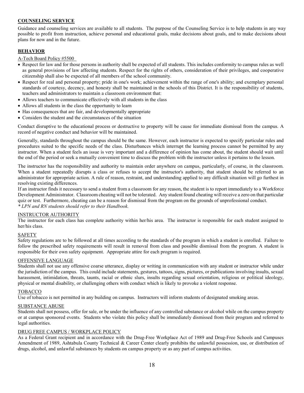## **COUNSELING SERVICE**

Guidance and counseling services are available to all students. The purpose of the Counseling Service is to help students in any way possible to profit from instruction, achieve personal and educational goals, make decisions about goals, and to make decisions about plans for now and in the future.

### **BEHAVIOR**

A-Tech Board Policy #5500

- Respect for law and for those persons in authority shall be expected of all students. This includes conformity to campus rules as well as general provisions of law affecting students. Respect for the rights of others, consideration of their privileges, and cooperative citizenship shall also be expected of all members of the school community.
- Respect for real and personal property; pride in one's work; achievement within the range of one's ability; and exemplary personal standards of courtesy, decency, and honesty shall be maintained in the schools of this District. It is the responsibility of students, teachers and administrators to maintain a classroom environment that:
- Allows teachers to communicate effectively with all students in the class
- Allows all students in the class the opportunity to learn
- Has consequences that are fair, and developmentally appropriate
- Considers the student and the circumstances of the situation

Conduct disruptive to the educational process or destructive to property will be cause for immediate dismissal from the campus. A record of negative conduct and behavior will be maintained.

Generally, standards throughout the campus should be the same. However, each instructor is expected to specify particular rules and procedures suited to the specific needs of the class. Disturbances which interrupt the learning process cannot be permitted by any instructor. When a student feels an issue is very important and a difference of opinion has come about, the student should wait until the end of the period or seek a mutually convenient time to discuss the problem with the instructor unless it pertains to the lesson.

The instructor has the responsibility and authority to maintain order anywhere on campus, particularly, of course, in the classroom. When a student repeatedly disrupts a class or refuses to accept the instructor's authority, that student should be referred to an administrator for appropriate action. A rule of reason, restraint, and understanding applied to any difficult situation will go furthest in resolving existing differences.

If an instructor finds it necessary to send a student from a classroom for any reason, the student is to report immediately to a Workforce Development Administrator. Classroom cheating will not be tolerated. Any student found cheating will receive a zero on that particular quiz or test. Furthermore, cheating can be a reason for dismissal from the program on the grounds of unprofessional conduct. *\* LPN and RN students should refer to their Handbook.* 

#### INSTRUCTOR AUTHORITY

The instructor for each class has complete authority within her/his area. The instructor is responsible for each student assigned to her/his class.

#### **SAFETY**

Safety regulations are to be followed at all times according to the standards of the program in which a student is enrolled. Failure to follow the prescribed safety requirements will result in removal from class and possible dismissal from the program. A student is responsible for their own safety equipment. Appropriate attire for each program is required.

#### OFFENSIVE LANGUAGE

Students shall not use any offensive coarse utterance, display or writing in communication with any student or instructor while under the jurisdiction of the campus. This could include statements, gestures, tattoos, signs, pictures, or publications involving insults, sexual harassment, intimidation, threats, taunts, racial or ethnic slurs, insults regarding sexual orientation, religious or political ideology, physical or mental disability, or challenging others with conduct which is likely to provoke a violent response.

#### TOBACCO

Use of tobacco is not permitted in any building on campus. Instructors will inform students of designated smoking areas.

#### SUBSTANCE ABUSE

Students shall not possess, offer for sale, or be under the influence of any controlled substance or alcohol while on the campus property or at campus sponsored events. Students who violate this policy shall be immediately dismissed from their program and referred to legal authorities.

#### DRUG FREE CAMPUS / WORKPLACE POLICY

As a Federal Grant recipient and in accordance with the Drug-Free Workplace Act of 1989 and Drug-Free Schools and Campuses Amendment of 1989, Ashtabula County Technical & Career Center clearly prohibits the unlawful possession, use, or distribution of drugs, alcohol, and unlawful substances by students on campus property or as any part of campus activities.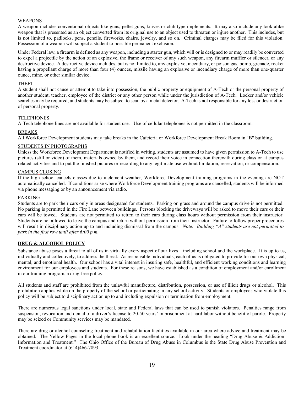#### WEAPONS

A weapon includes conventional objects like guns, pellet guns, knives or club type implements. It may also include any look-alike weapon that is presented as an object converted from its original use to an object used to threaten or injure another. This includes, but is not limited to, padlocks, pens, pencils, fireworks, chairs, jewelry, and so on. Criminal charges may be filed for this violation. Possession of a weapon will subject a student to possible permanent exclusion.

Under Federal law, a firearm is defined as any weapon, including a starter gun, which will or is designed to or may readily be converted to expel a projectile by the action of an explosive, the frame or receiver of any such weapon, any firearm muffler or silencer, or any destructive device. A destructive device includes, but is not limited to, any explosive, incendiary, or poison gas, bomb, grenade, rocket having a propellant charge of more than four (4) ounces, missile having an explosive or incendiary charge of more than one-quarter ounce, mine, or other similar device.

#### THEFT

A student shall not cause or attempt to take into possession, the public property or equipment of A-Tech or the personal property of another student, teacher, employee of the district or any other person while under the jurisdiction of A-Tech. Locker and/or vehicle searches may be required, and students may be subject to scan by a metal detector. A-Tech is not responsible for any loss or destruction of personal property.

#### TELEPHONES

A-Tech telephone lines are not available for student use. Use of cellular telephones is not permitted in the classroom.

#### BREAKS

All Workforce Development students may take breaks in the Cafeteria or Workforce Development Break Room in "B" building.

#### STUDENTS IN PHOTOGRAPHS

Unless the Workforce Development Department is notified in writing, students are assumed to have given permission to A-Tech to use pictures (still or video) of them, materials owned by them, and record their voice in connection therewith during class or at campus related activities and to put the finished pictures or recording to any legitimate use without limitation, reservation, or compensation.

### CAMPUS CLOSING

If the high school cancels classes due to inclement weather, Workforce Development training programs in the evening are NOT automatically cancelled. If conditions arise where Workforce Development training programs are cancelled, students will be informed via phone messaging or by an announcement via radio.

#### PARKING

Students are to park their cars only in areas designated for students. Parking on grass and around the campus drive is not permitted. No parking is permitted in the Fire Lane between buildings. Persons blocking the driveways will be asked to move their cars or their cars will be towed. Students are not permitted to return to their cars during class hours without permission from their instructor. Students are not allowed to leave the campus and return without permission from their instructor. Failure to follow proper procedures will result in disciplinary action up to and including dismissal from the campus. *Note: Building "A" students are not permitted to park in the first row until after 6:00 p.m.*

#### **DRUG & ALCOHOL POLICY**

Substance abuse poses a threat to all of us in virtually every aspect of our lives—including school and the workplace. It is up to us, individually and collectively, to address the threat. As responsible individuals, each of us is obligated to provide for our own physical, mental, and emotional health. Our school has a vital interest in insuring safe, healthful, and efficient working conditions and learning environment for our employees and students. For these reasons, we have established as a condition of employment and/or enrollment in our training program, a drug-free policy.

All students and staff are prohibited from the unlawful manufacture, distribution, possession, or use of illicit drugs or alcohol. This prohibition applies while on the property of the school or participating in any school activity. Students or employees who violate this policy will be subject to disciplinary action up to and including expulsion or termination from employment.

There are numerous legal sanctions under local, state and Federal laws that can be used to punish violators. Penalties range from suspension, revocation and denial of a driver's license to 20-50 years' imprisonment at hard labor without benefit of parole. Property may be seized or Community services may be mandated.

There are drug or alcohol counseling treatment and rehabilitation facilities available in our area where advice and treatment may be obtained. The Yellow Pages in the local phone book is an excellent source. Look under the heading "Drug Abuse & Addiction-Information and Treatment." The Ohio Office of the Bureau of Drug Abuse in Columbus is the State Drug Abuse Prevention and Treatment coordinator at (614)466-7893.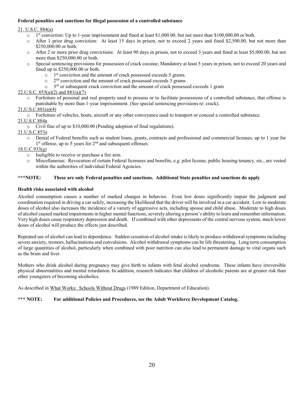## **Federal penalties and sanctions for illegal possession of a controlled substance**

#### 21. U.S.C. 884(a)

- $\circ$  1<sup>st</sup> conviction: Up to 1-year imprisonment and fined at least \$1,000.00, but not more than \$100,000.00 or both.<br>After 1 prior drug conviction: At least 15 days in prison, not to exceed 2 years and fined \$2,500.00, b
- After 1 prior drug conviction: At least 15 days in prison, not to exceed 2 years and fined \$2,500.00, but not more than \$250,000.00 or both.
- o After 2 or more prior drug convictions: At least 90 days in prison, not to exceed 3 years and fined at least \$5,000.00, but not more than \$250,000.00 or both.
- Special sentencing provisions for possession of crack cocaine; Mandatory at least 5 years in prison, not to exceed 20 years and fined up to \$250,000.00 or both.
	- $\circ$  1<sup>st</sup> conviction and the amount of crack possessed exceeds 5 grams.
	- $\circ$  2<sup>nd</sup> conviction and the amount of crack possessed exceeds 3 grams  $\circ$  3<sup>rd</sup> or subsequent crack conviction and the amount of crack possess
	- $3<sup>rd</sup>$  or subsequent crack conviction and the amount of crack possessed exceeds 1 gram

#### 22.U.S.C. 853(a)(2) and 881(a)(7)

o Forfeiture of personal and real property used to possess or to facilitate possessions of a controlled substance, that offense is punishable by more than 1-year imprisonment. (See special sentencing provisions re: crack).

#### 21,U.S.C.881(a)(4)

o Forfeiture of vehicles, boats, aircraft or any other conveyance used to transport or conceal a controlled substance.

#### 21.U.S.C.884a

o Civil fine of up to \$10,000.00 (Pending adoption of final regulations).

#### 21.U.S.C.853a

o Denial of Federal benefits such as student loans, grants, contracts and professional and commercial licenses, up to 1 year for  $1<sup>st</sup>$  offense, up to 5 years for  $2<sup>nd</sup>$  and subsequent offenses.

## $18.U.C.933(g)$

- o Ineligible to receive or purchase a fire arm.<br>  $\circ$  Miscellaneous: Revocation of certain Feder
- Miscellaneous: Revocation of certain Federal licensees and benefits, e.g. pilot license, public housing tenancy, etc., are vested within the authorities of individual Federal Agencies.

#### **\*\*\*NOTE: These are only Federal penalties and sanctions. Additional State penalties and sanctions do apply**

#### **Health risks associated with alcohol**

Alcohol consumption causes a number of marked changes in behavior. Even low doses significantly impair the judgment and coordination required in driving a car safely, increasing the likelihood that the driver will be involved in a car accident. Low to moderate doses of alcohol also increases the incidence of a variety of aggressive acts, including spouse and child abuse. Moderate to high doses of alcohol caused marked impairments in higher mental functions, severely altering a person's ability to learn and remember information. Very high doses cause respiratory depression and death. If combined with other depressants of the central nervous system, much lower doses of alcohol will produce the effects just described.

Repeated use of alcohol can lead to dependence. Sudden cessation of alcohol intake is likely to produce withdrawal symptoms including severe anxiety, tremors, hallucinations and convulsions. Alcohol withdrawal symptoms can be life threatening. Long term consumption of large quantities of alcohol, particularly when combined with poor nutrition can also lead to permanent damage to vital organs such as the brain and liver.

Mothers who drink alcohol during pregnancy may give birth to infants with fetal alcohol syndrome. These infants have irreversible physical abnormalities and mental retardation. In addition, research indicates that children of alcoholic parents are at greater risk than other youngsters of becoming alcoholics.

As described in What Works: Schools Without Drugs (1989 Edition, Department of Education).

#### **\*\*\* NOTE: For additional Policies and Procedures, see the Adult Workforce Development Catalog.**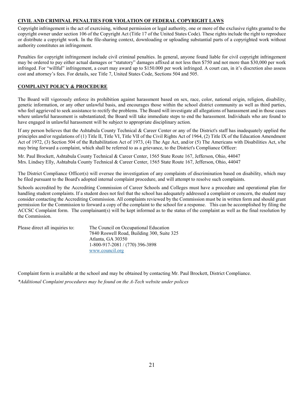## **CIVIL AND CRIMINAL PENALTIES FOR VIOLATION OF FEDERAL COPYRIGHT LAWS**

Copyright infringement is the act of exercising, without permission or legal authority, one or more of the exclusive rights granted to the copyright owner under section 106 of the Copyright Act (Title 17 of the United States Code). These rights include the right to reproduce or distribute a copyright work. In the file-sharing context, downloading or uploading substantial parts of a copyrighted work without authority constitutes an infringement.

Penalties for copyright infringement include civil criminal penalties. In general, anyone found liable for civil copyright infringement may be ordered to pay either actual damages or "statutory" damages affixed at not less then \$750 and not more than \$30,000 per work infringed. For "willful" infringement, a court may award up to \$150.000 per work infringed. A court can, in it's discretion also assess cost and attorney's fees. For details, see Title 7, United States Code, Sections 504 and 505.

## **COMPLAINT POLICY & PROCEDURE**

The Board will vigorously enforce its prohibition against harassment based on sex, race, color, national origin, religion, disability, genetic information, or any other unlawful basis, and encourages those within the school district community as well as third parties, who feel aggrieved to seek assistance to rectify the problems. The Board will investigate all allegations of harassment and in those cases where unlawful harassment is substantiated; the Board will take immediate steps to end the harassment. Individuals who are found to have engaged in unlawful harassment will be subject to appropriate disciplinary action.

If any person believes that the Ashtabula County Technical & Career Center or any of the District's staff has inadequately applied the principles and/or regulations of (1) Title II, Title VI, Title VII of the Civil Rights Act of 1964, (2) Title IX of the Education Amendment Act of 1972, (3) Section 504 of the Rehabilitation Act of 1973, (4) The Age Act, and/or (5) The Americans with Disabilities Act, s/he may bring forward a complaint, which shall be referred to as a grievance, to the District's Compliance Officer:

Mr. Paul Brockett, Ashtabula County Technical & Career Center, 1565 State Route 167, Jefferson, Ohio, 44047 Mrs. Lindsey Elly, Ashtabula County Technical & Career Center, 1565 State Route 167, Jefferson, Ohio, 44047

The District Compliance Officer(s) will oversee the investigation of any complaints of discrimination based on disability, which may be filed pursuant to the Board's adopted internal complaint procedure, and will attempt to resolve such complaints.

Schools accredited by the Accrediting Commission of Career Schools and Colleges must have a procedure and operational plan for handling student complaints. If a student does not feel that the school has adequately addressed a complaint or concern, the student may consider contacting the Accrediting Commission. All complaints reviewed by the Commission must be in written form and should grant permission for the Commission to forward a copy of the complaint to the school for a response. This can be accomplished by filing the ACCSC Complaint form. The complainant(s) will be kept informed as to the status of the complaint as well as the final resolution by the Commission.

| Please direct all inquiries to: | The Council on Occupational Education      |
|---------------------------------|--------------------------------------------|
|                                 | 7840 Roswell Road, Building 300, Suite 325 |
|                                 | Atlanta, GA 30350                          |
|                                 | 1-800-917-2081 / (770) 396-3898            |
|                                 | www.council.org                            |

Complaint form is available at the school and may be obtained by contacting Mr. Paul Brockett, District Compliance.

*\*Additional Complaint procedures may be found on the A-Tech website under polices*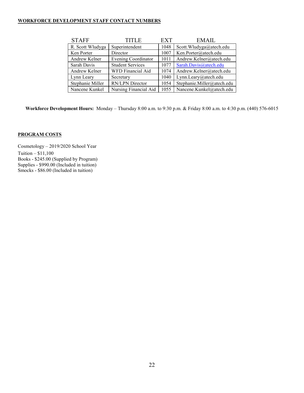## **WORKFORCE DEVELOPMENT STAFF CONTACT NUMBERS**

| <b>STAFF</b>     | <b>TITLE</b>               | <b>EXT</b> | <b>EMAIL</b>               |
|------------------|----------------------------|------------|----------------------------|
| R. Scott Wludyga | Superintendent             | 1048       | Scott.Wludyga@atech.edu    |
| Ken Porter       | Director                   | 1007       | Ken.Porter@atech.edu       |
| Andrew Kelner    | <b>Evening Coordinator</b> | 1011       | Andrew.Kelner@atech.edu    |
| Sarah Davis      | <b>Student Services</b>    | 1077       | Sarah.Davis@atech.edu      |
| Andrew Kelner    | WFD Financial Aid          | 1074       | Andrew.Kelner@atech.edu    |
| Lynn Leary       | Secretary                  | 1040       | Lynn.Leary@atech.edu       |
| Stephanie Miller | RN/LPN Director            | 1054       | Stephanie.Miller@atech.edu |
| Nancene Kunkel   | Nursing Financial Aid      | 1055       | Nancene.Kunkel@atech.edu   |

**Workforce Development Hours:** Monday – Thursday 8:00 a.m. to 9:30 p.m. & Friday 8:00 a.m. to 4:30 p.m. (440) 576-6015

## **PROGRAM COSTS**

Cosmetology – 2019/2020 School Year Tuition – \$11,100 Books - \$245.00 (Supplied by Program) Supplies - \$990.00 (Included in tuition) Smocks - \$86.00 (Included in tuition)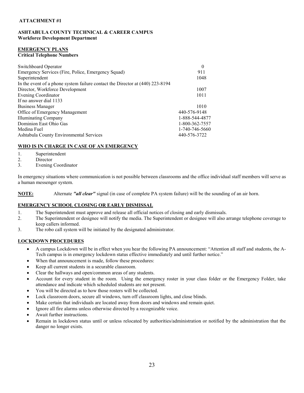#### **ATTACHMENT #1**

#### **ASHTABULA COUNTY TECHNICAL & CAREER CAMPUS Workforce Development Department**

# **EMERGENCY PLANS**

#### **Critical Telephone Numbers**

| Switchboard Operator                                                          | $\theta$       |
|-------------------------------------------------------------------------------|----------------|
| Emergency Services (Fire, Police, Emergency Squad)                            | 911            |
| Superintendent                                                                | 1048           |
| In the event of a phone system failure contact the Director at (440) 223-8194 |                |
| Director, Workforce Development                                               | 1007           |
| Evening Coordinator                                                           | 1011           |
| If no answer dial 1133                                                        |                |
| <b>Business Manager</b>                                                       | 1010           |
| Office of Emergency Management                                                | 440-576-9148   |
| <b>Illuminating Company</b>                                                   | 1-888-544-4877 |
| Dominion East Ohio Gas                                                        | 1-800-362-7557 |
| Medina Fuel                                                                   | 1-740-746-5660 |
| Ashtabula County Environmental Services                                       | 440-576-3722   |
|                                                                               |                |

## **WHO IS IN CHARGE IN CASE OF AN EMERGENCY**

- 1. Superintendent
- 2. Director
- 3. Evening Coordinator

In emergency situations where communication is not possible between classrooms and the office individual staff members will serve as a human messenger system.

**NOTE:** Alternate *"all clear"* signal (in case of complete PA system failure) will be the sounding of an air horn.

## **EMERGENCY SCHOOL CLOSING OR EARLY DISMISSAL**

- 1. The Superintendent must approve and release all official notices of closing and early dismissals.
- 2. The Superintendent or designee will notify the media. The Superintendent or designee will also arrange telephone coverage to keep callers informed.
- 3. The robo call system will be initiated by the designated administrator.

## **LOCKDOWN PROCEDURES**

- A campus Lockdown will be in effect when you hear the following PA announcement: "Attention all staff and students, the A-Tech campus is in emergency lockdown status effective immediately and until further notice."
- When that announcement is made, follow these procedures:
- Keep all current students in a securable classroom.
- Clear the hallways and open/common areas of any students.
- Account for every student in the room. Using the emergency roster in your class folder or the Emergency Folder, take attendance and indicate which scheduled students are not present.
- You will be directed as to how those rosters will be collected.
- Lock classroom doors, secure all windows, turn off classroom lights, and close blinds.
- Make certain that individuals are located away from doors and windows and remain quiet.
- Ignore all fire alarms unless otherwise directed by a recognizable voice.
- Await further instructions.
- Remain in lockdown status until or unless relocated by authorities/administration or notified by the administration that the danger no longer exists.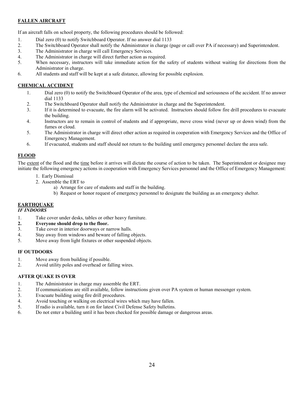## **FALLEN AIRCRAFT**

If an aircraft falls on school property, the following procedures should be followed:

- 1. Dial zero (0) to notify Switchboard Operator. If no answer dial 1133
- 2. The Switchboard Operator shall notify the Administrator in charge (page or call over PA if necessary) and Superintendent.
- 3. The Administrator in charge will call Emergency Services.
- 4. The Administrator in charge will direct further action as required.
- 5. When necessary, instructors will take immediate action for the safety of students without waiting for directions from the Administrator in charge.
- 6. All students and staff will be kept at a safe distance, allowing for possible explosion.

## **CHEMICAL ACCIDENT**

- 1. Dial zero (0) to notify the Switchboard Operator of the area, type of chemical and seriousness of the accident. If no answer dial 1133
- 2. The Switchboard Operator shall notify the Administrator in charge and the Superintendent.
- 3. If it is determined to evacuate, the fire alarm will be activated. Instructors should follow fire drill procedures to evacuate the building.
- 4. Instructors are to remain in control of students and if appropriate, move cross wind (never up or down wind) from the fumes or cloud.
- 5. The Administrator in charge will direct other action as required in cooperation with Emergency Services and the Office of Emergency Management.
- 6. If evacuated, students and staff should not return to the building until emergency personnel declare the area safe.

## **FLOOD**

The extent of the flood and the time before it arrives will dictate the course of action to be taken. The Superintendent or designee may initiate the following emergency actions in cooperation with Emergency Services personnel and the Office of Emergency Management:

- 1. Early Dismissal
- 2. Assemble the ERT to
	- a) Arrange for care of students and staff in the building.
	- b) Request or honor request of emergency personnel to designate the building as an emergency shelter.

# **EARTHQUAKE**

# *IF INDOORS*

- 1. Take cover under desks, tables or other heavy furniture.
- **2. Everyone should drop to the floor.**
- 3. Take cover in interior doorways or narrow halls.
- 4. Stay away from windows and beware of falling objects.
- 5. Move away from light fixtures or other suspended objects.

#### **IF OUTDOORS**

- 1. Move away from building if possible.
- 2. Avoid utility poles and overhead or falling wires.

## **AFTER QUAKE IS OVER**

- 1. The Administrator in charge may assemble the ERT.
- 2. If communications are still available, follow instructions given over PA system or human messenger system.
- 3. Evacuate building using fire drill procedures.
- 4. Avoid touching or walking on electrical wires which may have fallen.
- 5. If radio is available, turn it on for latest Civil Defense Safety bulletins.
- 6. Do not enter a building until it has been checked for possible damage or dangerous areas.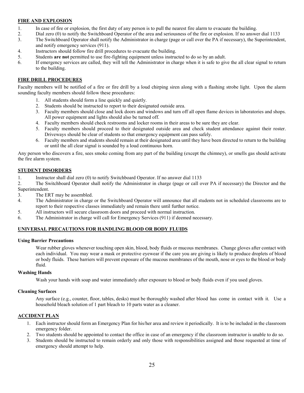## **FIRE AND EXPLOSION**

- 1. In case of fire or explosion, the first duty of any person is to pull the nearest fire alarm to evacuate the building.
- 2. Dial zero (0) to notify the Switchboard Operator of the area and seriousness of the fire or explosion. If no answer dial 1133
- 3. The Switchboard Operator shall notify the Administrator in charge (page or call over the PA if necessary), the Superintendent, and notify emergency services (911).
- 4. Instructors should follow fire drill procedures to evacuate the building.
- 5. Students **are not** permitted to use fire-fighting equipment unless instructed to do so by an adult.
- 6. If emergency services are called, they will tell the Administrator in charge when it is safe to give the all clear signal to return to the building.

## **FIRE DRILL PROCEDURES**

Faculty members will be notified of a fire or fire drill by a loud chirping siren along with a flashing strobe light. Upon the alarm sounding faculty members should follow these procedures:

- 1. All students should form a line quickly and quietly.
- 2. Students should be instructed to report to their designated outside area.
- 3. Faculty members should close and lock doors and windows and turn off all open flame devices in laboratories and shops. All power equipment and lights should also be turned off.
- 4. Faculty members should check restrooms and locker rooms in their areas to be sure they are clear.
- 5. Faculty members should proceed to their designated outside area and check student attendance against their roster. Driveways should be clear of students so that emergency equipment can pass safely.
- 6. Faculty members and students should remain at their designated area until they have been directed to return to the building or until the all clear signal is sounded by a loud continuous horn.

Any person who discovers a fire, sees smoke coming from any part of the building (except the chimney), or smells gas should activate the fire alarm system.

#### **STUDENT DISORDERS**

1. Instructor shall dial zero (0) to notify Switchboard Operator. If no answer dial 1133

2. The Switchboard Operator shall notify the Administrator in charge (page or call over PA if necessary) the Director and the Superintendent.

- 3. The ERT may be assembled.
- 4. The Administrator in charge or the Switchboard Operator will announce that all students not in scheduled classrooms are to report to their respective classes immediately and remain there until further notice.
- 5. All instructors will secure classroom doors and proceed with normal instruction.
- 6. The Administrator in charge will call for Emergency Services (911) if deemed necessary.

#### **UNIVERSAL PRECAUTIONS FOR HANDLING BLOOD OR BODY FLUIDS**

#### **Using Barrier Precautions**

Wear rubber gloves whenever touching open skin, blood, body fluids or mucous membranes. Change gloves after contact with each individual. You may wear a mask or protective eyewear if the care you are giving is likely to produce droplets of blood or body fluids. These barriers will prevent exposure of the mucous membranes of the mouth, nose or eyes to the blood or body fluid.

#### **Washing Hands**

Wash your hands with soap and water immediately after exposure to blood or body fluids even if you used gloves.

#### **Cleaning Surfaces**

Any surface (e.g., counter, floor, tables, desks) must be thoroughly washed after blood has come in contact with it. Use a household bleach solution of 1 part bleach to 10 parts water as a cleaner.

#### **ACCIDENT PLAN**

- 1. Each instructor should form an Emergency Plan for his/her area and review it periodically. It is to be included in the classroom emergency folder.
- 2. Two students should be appointed to contact the office in case of an emergency if the classroom instructor is unable to do so.
- 3. Students should be instructed to remain orderly and only those with responsibilities assigned and those requested at time of emergency should attempt to help.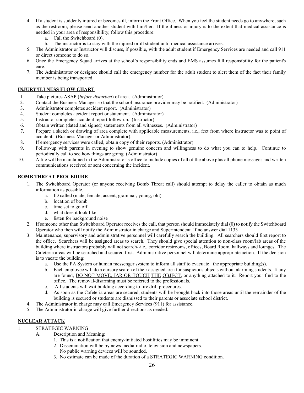- 4. If a student is suddenly injured or becomes ill, inform the Front Office. When you feel the student needs go to anywhere, such as the restroom, please send another student with him/her. If the illness or injury is to the extent that medical assistance is needed in your area of responsibility, follow this procedure:
	- a. Call the Switchboard (0).
	- b. The instructor is to stay with the injured or ill student until medical assistance arrives.
- 5. The Administrator or Instructor will discuss, if possible, with the adult student if Emergency Services are needed and call 911 or direct someone to do so.
- 6. Once the Emergency Squad arrives at the school's responsibility ends and EMS assumes full responsibility for the patient's care.
- 7. The Administrator or designee should call the emergency number for the adult student to alert them of the fact their family member is being transported.

### **INJURY/ILLNESS FLOW CHART**

- 1. Take pictures ASAP (*before disturbed*) of area. (Administrator)
- 2. Contact the Business Manager so that the school insurance provider may be notified. (Administrator)
- 3. Administrator completes accident report. (Administrator)
- 4. Student completes accident report or statement. (Administrator)
- 5. Instructor completes accident report follow-up. (Instructor)
- 6. Obtain written (dated and signed) statements from all witnesses. (Administrator)
- 7. Prepare a sketch or drawing of area complete with applicable measurements, i.e., feet from where instructor was to point of accident. (Business Manager or Administrator).
- 8. If emergency services were called, obtain copy of their reports. (Administrator)
- 9. Follow-up with parents in evening to show genuine concern and willingness to do what you can to help. Continue to periodically call to see how things are going. (Administrator)
- 10. A file will be maintained in the Administrator's office to include copies of all of the above plus all phone messages and written communications received or sent concerning the incident.

## **BOMB THREAT PROCEDURE**

- 1. The Switchboard Operator (or anyone receiving Bomb Threat call) should attempt to delay the caller to obtain as much information as possible.
	- a. ID called (male, female, accent, grammar, young, old)
	- b. location of bomb
	- c. time set to go off
	- d. what does it look like
	- e. listen for background noise
- 2. If someone other than Switchboard Operator receives the call, that person should immediately dial (0) to notify the Switchboard Operator who then will notify the Administrator in charge and Superintendent. If no answer dial 1133
- 3. Maintenance, supervisory and administrative personnel will carefully search the building. All searchers should first report to the office. Searchers will be assigned areas to search. They should give special attention to non-class room/lab areas of the building where instructors probably will not search--i.e., corridor restrooms, offices, Board Room, hallways and lounges. The Cafeteria areas will be searched and secured first. Administrative personnel will determine appropriate action. If the decision is to vacate the building:
	- a. Use the PA System or human messenger system to inform all staff to evacuate the appropriate building(s).
	- b. Each employee will do a cursory search of their assigned area for suspicious objects without alarming students. If any are found, DO NOT MOVE, JAR OR TOUCH THE OBJECT, or anything attached to it. Report your find to the office. The removal/disarming must be referred to the professionals.
	- c. All students will exit building according to fire drill procedures.
	- d. As soon as the Cafeteria areas are secured, students will be brought back into those areas until the remainder of the building is secured or students are dismissed to their parents or associate school district.
- 4. The Administrator in charge may call Emergency Services (911) for assistance.
- 5. The Administrator in charge will give further directions as needed.

## **NUCLEAR ATTACK**

- 1. STRATEGIC WARNING
	- A. Description and Meaning:
		- 1. This is a notification that enemy-initiated hostilities may be imminent.
		- 2. Dissemination will be by news media-radio, television and newspapers. No public warning devices will be sounded.
		- 3. No estimate can be made of the duration of a STRATEGIC WARNING condition.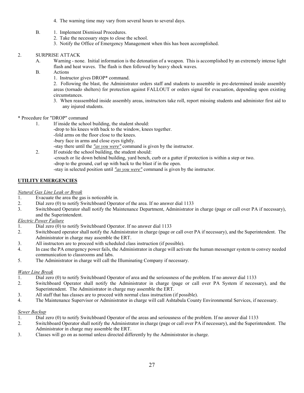- 4. The warning time may vary from several hours to several days.
- B. 1. Implement Dismissal Procedures.
	- 2. Take the necessary steps to close the school.
	- 3. Notify the Office of Emergency Management when this has been accomplished.

## 2. SURPRISE ATTACK

- A. Warning none. Initial information is the detonation of a weapon. This is accomplished by an extremely intense light flash and heat waves. The flash is then followed by heavy shock waves.
- B. Actions
	- 1. Instructor gives DROP\* command.

2. Following the blast, the Administrator orders staff and students to assemble in pre-determined inside assembly areas (tornado shelters) for protection against FALLOUT or orders signal for evacuation, depending upon existing circumstances.

- 3. When reassembled inside assembly areas, instructors take roll, report missing students and administer first aid to any injured students.
- \* Procedure for "DROP" command
	- 1. If inside the school building, the student should:
		- -drop to his knees with back to the window, knees together. -fold arms on the floor close to the knees. -bury face in arms and close eyes tightly.
		- -stay there until the *"as you were"* command is given by the instructor.
	- 2. If outside the school building, the student should: -crouch or lie down behind building, yard bench, curb or a gutter if protection is within a step or two. -drop to the ground, curl up with back to the blast if in the open. -stay in selected position until *"as you were"* command is given by the instructor.

## **UTILITY EMERGENCIES**

## *Natural Gas Line Leak or Break*

- 1. Evacuate the area the gas is noticeable in.
- 2. Dial zero (0) to notify Switchboard Operator of the area. If no answer dial 1133
- 3. Switchboard Operator shall notify the Maintenance Department, Administrator in charge (page or call over PA if necessary), and the Superintendent.

## *Electric Power Failure*

- 1. Dial zero (0) to notify Switchboard Operator. If no answer dial 1133
- 2. Switchboard operator shall notify the Administrator in charge (page or call over PA if necessary), and the Superintendent. The Administrator in charge may assemble the ERT.
- 3. All instructors are to proceed with scheduled class instruction (if possible).
- 4. In case the PA emergency power fails, the Administrator in charge will activate the human messenger system to convey needed communication to classrooms and labs.
- 5. The Administrator in charge will call the Illuminating Company if necessary.

#### *Water Line Break*

- 1. Dial zero (0) to notify Switchboard Operator of area and the seriousness of the problem. If no answer dial 1133
- 2. Switchboard Operator shall notify the Administrator in charge (page or call over PA System if necessary), and the Superintendent. The Administrator in charge may assemble the ERT.
- 3. All staff that has classes are to proceed with normal class instruction (if possible).
- 4. The Maintenance Supervisor or Administrator in charge will call Ashtabula County Environmental Services, if necessary.

#### *Sewer Backup*

- 1. Dial zero (0) to notify Switchboard Operator of the areas and seriousness of the problem. If no answer dial 1133
- 2. Switchboard Operator shall notify the Administrator in charge (page or call over PA if necessary), and the Superintendent. The Administrator in charge may assemble the ERT.
- 3. Classes will go on as normal unless directed differently by the Administrator in charge.